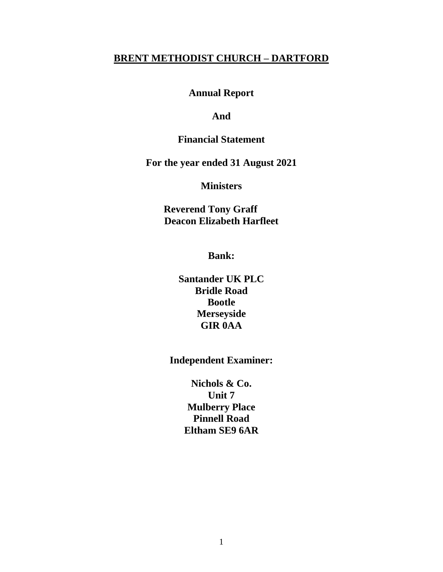#### **BRENT METHODIST CHURCH – DARTFORD**

**Annual Report**

#### **And**

#### **Financial Statement**

**For the year ended 31 August 2021**

#### **Ministers**

 **Reverend Tony Graff Deacon Elizabeth Harfleet**

**Bank:**

**Santander UK PLC Bridle Road Bootle Merseyside GIR 0AA**

**Independent Examiner:**

**Nichols & Co. Unit 7 Mulberry Place Pinnell Road Eltham SE9 6AR**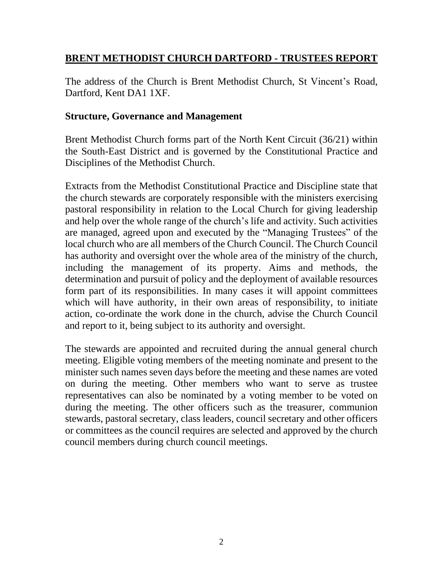## **BRENT METHODIST CHURCH DARTFORD - TRUSTEES REPORT**

The address of the Church is Brent Methodist Church, St Vincent's Road, Dartford, Kent DA1 1XF.

#### **Structure, Governance and Management**

Brent Methodist Church forms part of the North Kent Circuit (36/21) within the South-East District and is governed by the Constitutional Practice and Disciplines of the Methodist Church.

Extracts from the Methodist Constitutional Practice and Discipline state that the church stewards are corporately responsible with the ministers exercising pastoral responsibility in relation to the Local Church for giving leadership and help over the whole range of the church's life and activity. Such activities are managed, agreed upon and executed by the "Managing Trustees" of the local church who are all members of the Church Council. The Church Council has authority and oversight over the whole area of the ministry of the church, including the management of its property. Aims and methods, the determination and pursuit of policy and the deployment of available resources form part of its responsibilities. In many cases it will appoint committees which will have authority, in their own areas of responsibility, to initiate action, co-ordinate the work done in the church, advise the Church Council and report to it, being subject to its authority and oversight.

The stewards are appointed and recruited during the annual general church meeting. Eligible voting members of the meeting nominate and present to the minister such names seven days before the meeting and these names are voted on during the meeting. Other members who want to serve as trustee representatives can also be nominated by a voting member to be voted on during the meeting. The other officers such as the treasurer, communion stewards, pastoral secretary, class leaders, council secretary and other officers or committees as the council requires are selected and approved by the church council members during church council meetings.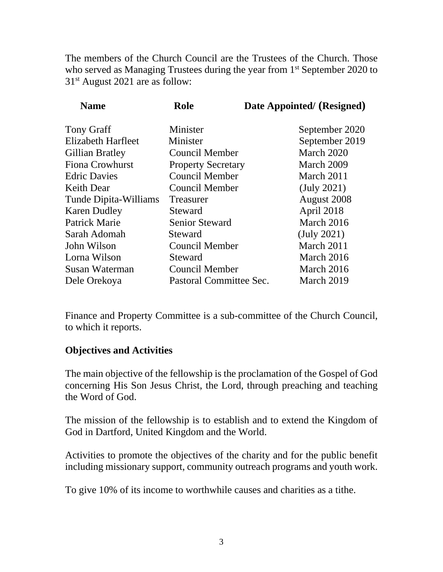The members of the Church Council are the Trustees of the Church. Those who served as Managing Trustees during the year from 1<sup>st</sup> September 2020 to 31st August 2021 are as follow:

| <b>Name</b>               | Role                      | Date Appointed/ (Resigned) |
|---------------------------|---------------------------|----------------------------|
| <b>Tony Graff</b>         | Minister                  | September 2020             |
| <b>Elizabeth Harfleet</b> | Minister                  | September 2019             |
| Gillian Bratley           | Council Member            | March 2020                 |
| <b>Fiona Crowhurst</b>    | <b>Property Secretary</b> | March 2009                 |
| <b>Edric Davies</b>       | <b>Council Member</b>     | March 2011                 |
| <b>Keith Dear</b>         | Council Member            | $(\text{July } 2021)$      |
| Tunde Dipita-Williams     | Treasurer                 | August 2008                |
| <b>Karen Dudley</b>       | Steward                   | April 2018                 |
| Patrick Marie             | <b>Senior Steward</b>     | March 2016                 |
| Sarah Adomah              | Steward                   | (July 2021)                |
| John Wilson               | <b>Council Member</b>     | March 2011                 |
| Lorna Wilson              | Steward                   | March 2016                 |
| Susan Waterman            | Council Member            | March 2016                 |
| Dele Orekoya              | Pastoral Committee Sec.   | March 2019                 |

Finance and Property Committee is a sub-committee of the Church Council, to which it reports.

#### **Objectives and Activities**

The main objective of the fellowship is the proclamation of the Gospel of God concerning His Son Jesus Christ, the Lord, through preaching and teaching the Word of God.

The mission of the fellowship is to establish and to extend the Kingdom of God in Dartford, United Kingdom and the World.

Activities to promote the objectives of the charity and for the public benefit including missionary support, community outreach programs and youth work.

To give 10% of its income to worthwhile causes and charities as a tithe.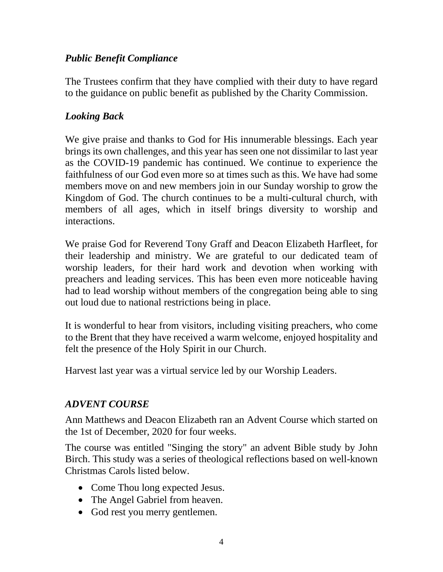## *Public Benefit Compliance*

The Trustees confirm that they have complied with their duty to have regard to the guidance on public benefit as published by the Charity Commission.

# *Looking Back*

We give praise and thanks to God for His innumerable blessings. Each year brings its own challenges, and this year has seen one not dissimilar to last year as the COVID-19 pandemic has continued. We continue to experience the faithfulness of our God even more so at times such as this. We have had some members move on and new members join in our Sunday worship to grow the Kingdom of God. The church continues to be a multi-cultural church, with members of all ages, which in itself brings diversity to worship and interactions.

We praise God for Reverend Tony Graff and Deacon Elizabeth Harfleet, for their leadership and ministry. We are grateful to our dedicated team of worship leaders, for their hard work and devotion when working with preachers and leading services. This has been even more noticeable having had to lead worship without members of the congregation being able to sing out loud due to national restrictions being in place.

It is wonderful to hear from visitors, including visiting preachers, who come to the Brent that they have received a warm welcome, enjoyed hospitality and felt the presence of the Holy Spirit in our Church.

Harvest last year was a virtual service led by our Worship Leaders.

# *ADVENT COURSE*

Ann Matthews and Deacon Elizabeth ran an Advent Course which started on the 1st of December, 2020 for four weeks.

The course was entitled "Singing the story" an advent Bible study by John Birch. This study was a series of theological reflections based on well-known Christmas Carols listed below.

- Come Thou long expected Jesus.
- The Angel Gabriel from heaven.
- God rest you merry gentlemen.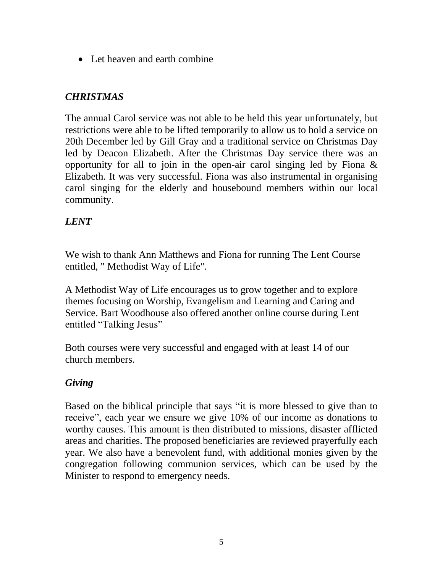• Let heaven and earth combine

# *CHRISTMAS*

The annual Carol service was not able to be held this year unfortunately, but restrictions were able to be lifted temporarily to allow us to hold a service on 20th December led by Gill Gray and a traditional service on Christmas Day led by Deacon Elizabeth. After the Christmas Day service there was an opportunity for all to join in the open-air carol singing led by Fiona  $\&$ Elizabeth. It was very successful. Fiona was also instrumental in organising carol singing for the elderly and housebound members within our local community.

# *LENT*

We wish to thank Ann Matthews and Fiona for running The Lent Course entitled, " Methodist Way of Life".

A Methodist Way of Life encourages us to grow together and to explore themes focusing on Worship, Evangelism and Learning and Caring and Service. Bart Woodhouse also offered another online course during Lent entitled "Talking Jesus"

Both courses were very successful and engaged with at least 14 of our church members.

# *Giving*

Based on the biblical principle that says "it is more blessed to give than to receive", each year we ensure we give 10% of our income as donations to worthy causes. This amount is then distributed to missions, disaster afflicted areas and charities. The proposed beneficiaries are reviewed prayerfully each year. We also have a benevolent fund, with additional monies given by the congregation following communion services, which can be used by the Minister to respond to emergency needs.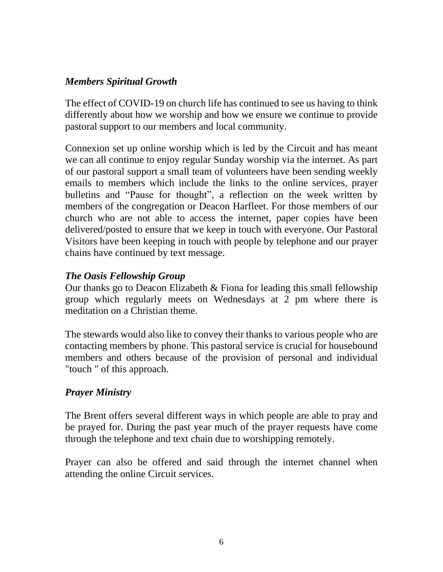## *Members Spiritual Growth*

The effect of COVID-19 on church life has continued to see us having to think differently about how we worship and how we ensure we continue to provide pastoral support to our members and local community.

Connexion set up online worship which is led by the Circuit and has meant we can all continue to enjoy regular Sunday worship via the internet. As part of our pastoral support a small team of volunteers have been sending weekly emails to members which include the links to the online services, prayer bulletins and "Pause for thought", a reflection on the week written by members of the congregation or Deacon Harfleet. For those members of our church who are not able to access the internet, paper copies have been delivered/posted to ensure that we keep in touch with everyone. Our Pastoral Visitors have been keeping in touch with people by telephone and our prayer chains have continued by text message.

#### *The Oasis Fellowship Group*

Our thanks go to Deacon Elizabeth  $&$  Fiona for leading this small fellowship group which regularly meets on Wednesdays at 2 pm where there is meditation on a Christian theme.

The stewards would also like to convey their thanks to various people who are contacting members by phone. This pastoral service is crucial for housebound members and others because of the provision of personal and individual "touch " of this approach.

## *Prayer Ministry*

The Brent offers several different ways in which people are able to pray and be prayed for. During the past year much of the prayer requests have come through the telephone and text chain due to worshipping remotely.

Prayer can also be offered and said through the internet channel when attending the online Circuit services.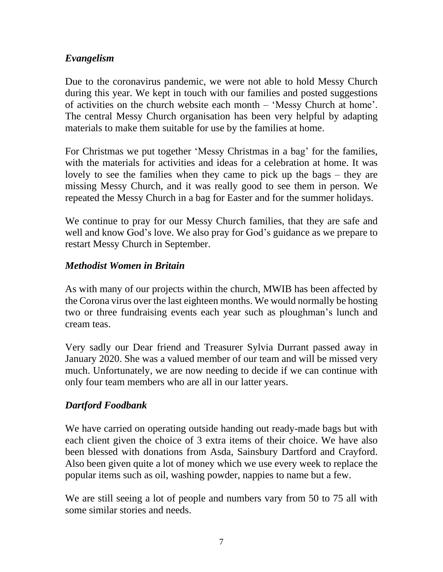## *Evangelism*

Due to the coronavirus pandemic, we were not able to hold Messy Church during this year. We kept in touch with our families and posted suggestions of activities on the church website each month – 'Messy Church at home'. The central Messy Church organisation has been very helpful by adapting materials to make them suitable for use by the families at home.

For Christmas we put together 'Messy Christmas in a bag' for the families, with the materials for activities and ideas for a celebration at home. It was lovely to see the families when they came to pick up the bags – they are missing Messy Church, and it was really good to see them in person. We repeated the Messy Church in a bag for Easter and for the summer holidays.

We continue to pray for our Messy Church families, that they are safe and well and know God's love. We also pray for God's guidance as we prepare to restart Messy Church in September.

#### *Methodist Women in Britain*

As with many of our projects within the church, MWIB has been affected by the Corona virus over the last eighteen months. We would normally be hosting two or three fundraising events each year such as ploughman's lunch and cream teas.

Very sadly our Dear friend and Treasurer Sylvia Durrant passed away in January 2020. She was a valued member of our team and will be missed very much. Unfortunately, we are now needing to decide if we can continue with only four team members who are all in our latter years.

#### *Dartford Foodbank*

We have carried on operating outside handing out ready-made bags but with each client given the choice of 3 extra items of their choice. We have also been blessed with donations from Asda, Sainsbury Dartford and Crayford. Also been given quite a lot of money which we use every week to replace the popular items such as oil, washing powder, nappies to name but a few.

We are still seeing a lot of people and numbers vary from 50 to 75 all with some similar stories and needs.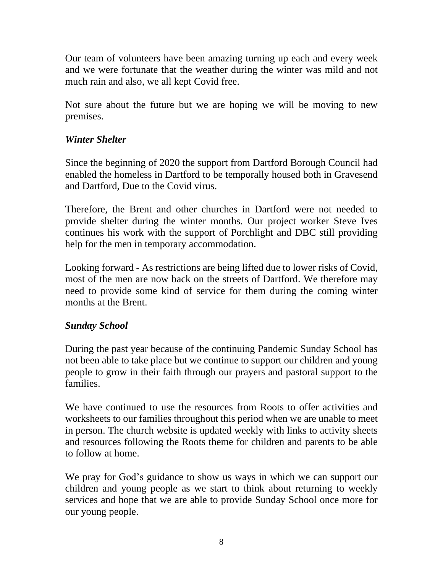Our team of volunteers have been amazing turning up each and every week and we were fortunate that the weather during the winter was mild and not much rain and also, we all kept Covid free.

Not sure about the future but we are hoping we will be moving to new premises.

#### *Winter Shelter*

Since the beginning of 2020 the support from Dartford Borough Council had enabled the homeless in Dartford to be temporally housed both in Gravesend and Dartford, Due to the Covid virus.

Therefore, the Brent and other churches in Dartford were not needed to provide shelter during the winter months. Our project worker Steve Ives continues his work with the support of Porchlight and DBC still providing help for the men in temporary accommodation.

Looking forward - As restrictions are being lifted due to lower risks of Covid, most of the men are now back on the streets of Dartford. We therefore may need to provide some kind of service for them during the coming winter months at the Brent.

#### *Sunday School*

During the past year because of the continuing Pandemic Sunday School has not been able to take place but we continue to support our children and young people to grow in their faith through our prayers and pastoral support to the families.

We have continued to use the resources from Roots to offer activities and worksheets to our families throughout this period when we are unable to meet in person. The church website is updated weekly with links to activity sheets and resources following the Roots theme for children and parents to be able to follow at home.

We pray for God's guidance to show us ways in which we can support our children and young people as we start to think about returning to weekly services and hope that we are able to provide Sunday School once more for our young people.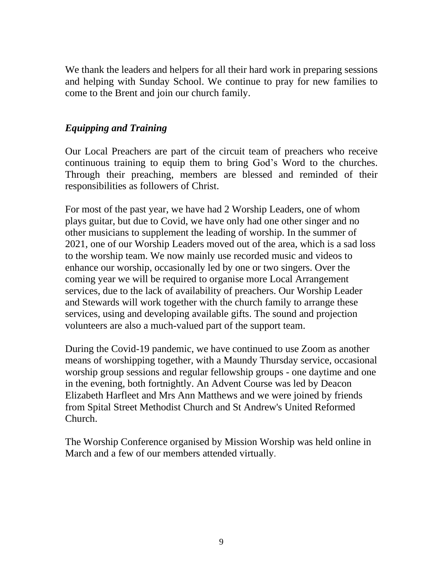We thank the leaders and helpers for all their hard work in preparing sessions and helping with Sunday School. We continue to pray for new families to come to the Brent and join our church family.

## *Equipping and Training*

Our Local Preachers are part of the circuit team of preachers who receive continuous training to equip them to bring God's Word to the churches. Through their preaching, members are blessed and reminded of their responsibilities as followers of Christ.

For most of the past year, we have had 2 Worship Leaders, one of whom plays guitar, but due to Covid, we have only had one other singer and no other musicians to supplement the leading of worship. In the summer of 2021, one of our Worship Leaders moved out of the area, which is a sad loss to the worship team. We now mainly use recorded music and videos to enhance our worship, occasionally led by one or two singers. Over the coming year we will be required to organise more Local Arrangement services, due to the lack of availability of preachers. Our Worship Leader and Stewards will work together with the church family to arrange these services, using and developing available gifts. The sound and projection volunteers are also a much-valued part of the support team.

During the Covid-19 pandemic, we have continued to use Zoom as another means of worshipping together, with a Maundy Thursday service, occasional worship group sessions and regular fellowship groups - one daytime and one in the evening, both fortnightly. An Advent Course was led by Deacon Elizabeth Harfleet and Mrs Ann Matthews and we were joined by friends from Spital Street Methodist Church and St Andrew's United Reformed Church.

The Worship Conference organised by Mission Worship was held online in March and a few of our members attended virtually.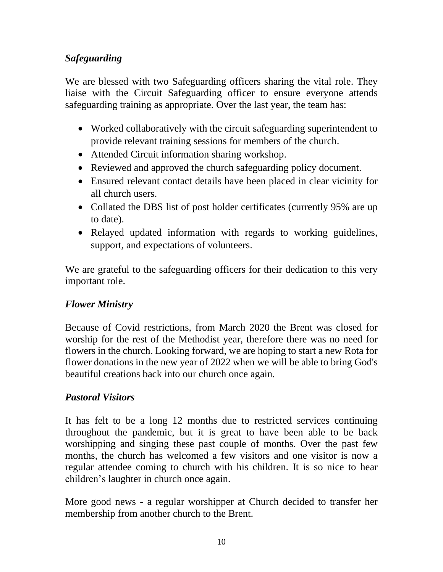# *Safeguarding*

We are blessed with two Safeguarding officers sharing the vital role. They liaise with the Circuit Safeguarding officer to ensure everyone attends safeguarding training as appropriate. Over the last year, the team has:

- Worked collaboratively with the circuit safeguarding superintendent to provide relevant training sessions for members of the church.
- Attended Circuit information sharing workshop.
- Reviewed and approved the church safeguarding policy document.
- Ensured relevant contact details have been placed in clear vicinity for all church users.
- Collated the DBS list of post holder certificates (currently 95% are up to date).
- Relayed updated information with regards to working guidelines, support, and expectations of volunteers.

We are grateful to the safeguarding officers for their dedication to this very important role.

## *Flower Ministry*

Because of Covid restrictions, from March 2020 the Brent was closed for worship for the rest of the Methodist year, therefore there was no need for flowers in the church. Looking forward, we are hoping to start a new Rota for flower donations in the new year of 2022 when we will be able to bring God's beautiful creations back into our church once again.

## *Pastoral Visitors*

It has felt to be a long 12 months due to restricted services continuing throughout the pandemic, but it is great to have been able to be back worshipping and singing these past couple of months. Over the past few months, the church has welcomed a few visitors and one visitor is now a regular attendee coming to church with his children. It is so nice to hear children's laughter in church once again.

More good news - a regular worshipper at Church decided to transfer her membership from another church to the Brent.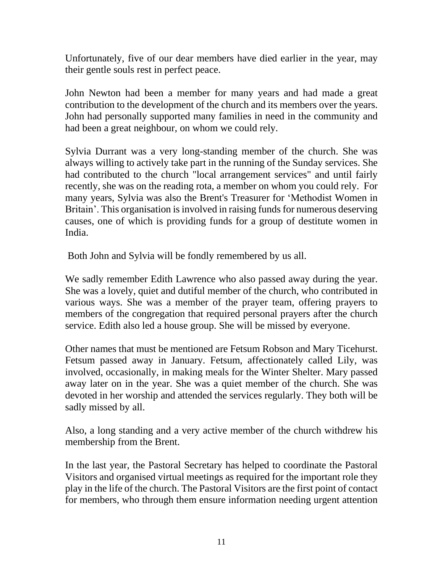Unfortunately, five of our dear members have died earlier in the year, may their gentle souls rest in perfect peace.

John Newton had been a member for many years and had made a great contribution to the development of the church and its members over the years. John had personally supported many families in need in the community and had been a great neighbour, on whom we could rely.

Sylvia Durrant was a very long-standing member of the church. She was always willing to actively take part in the running of the Sunday services. She had contributed to the church "local arrangement services" and until fairly recently, she was on the reading rota, a member on whom you could rely. For many years, Sylvia was also the Brent's Treasurer for 'Methodist Women in Britain'. This organisation is involved in raising funds for numerous deserving causes, one of which is providing funds for a group of destitute women in India.

Both John and Sylvia will be fondly remembered by us all.

We sadly remember Edith Lawrence who also passed away during the year. She was a lovely, quiet and dutiful member of the church, who contributed in various ways. She was a member of the prayer team, offering prayers to members of the congregation that required personal prayers after the church service. Edith also led a house group. She will be missed by everyone.

Other names that must be mentioned are Fetsum Robson and Mary Ticehurst. Fetsum passed away in January. Fetsum, affectionately called Lily, was involved, occasionally, in making meals for the Winter Shelter. Mary passed away later on in the year. She was a quiet member of the church. She was devoted in her worship and attended the services regularly. They both will be sadly missed by all.

Also, a long standing and a very active member of the church withdrew his membership from the Brent.

In the last year, the Pastoral Secretary has helped to coordinate the Pastoral Visitors and organised virtual meetings as required for the important role they play in the life of the church. The Pastoral Visitors are the first point of contact for members, who through them ensure information needing urgent attention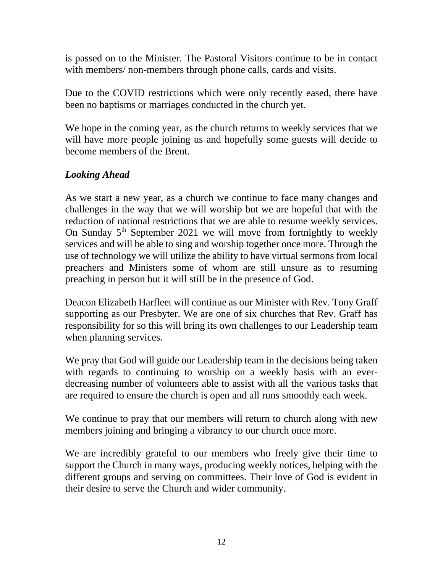is passed on to the Minister. The Pastoral Visitors continue to be in contact with members/ non-members through phone calls, cards and visits.

Due to the COVID restrictions which were only recently eased, there have been no baptisms or marriages conducted in the church yet.

We hope in the coming year, as the church returns to weekly services that we will have more people joining us and hopefully some guests will decide to become members of the Brent.

# *Looking Ahead*

As we start a new year, as a church we continue to face many changes and challenges in the way that we will worship but we are hopeful that with the reduction of national restrictions that we are able to resume weekly services. On Sunday  $5<sup>th</sup>$  September 2021 we will move from fortnightly to weekly services and will be able to sing and worship together once more. Through the use of technology we will utilize the ability to have virtual sermons from local preachers and Ministers some of whom are still unsure as to resuming preaching in person but it will still be in the presence of God.

Deacon Elizabeth Harfleet will continue as our Minister with Rev. Tony Graff supporting as our Presbyter. We are one of six churches that Rev. Graff has responsibility for so this will bring its own challenges to our Leadership team when planning services.

We pray that God will guide our Leadership team in the decisions being taken with regards to continuing to worship on a weekly basis with an everdecreasing number of volunteers able to assist with all the various tasks that are required to ensure the church is open and all runs smoothly each week.

We continue to pray that our members will return to church along with new members joining and bringing a vibrancy to our church once more.

We are incredibly grateful to our members who freely give their time to support the Church in many ways, producing weekly notices, helping with the different groups and serving on committees. Their love of God is evident in their desire to serve the Church and wider community.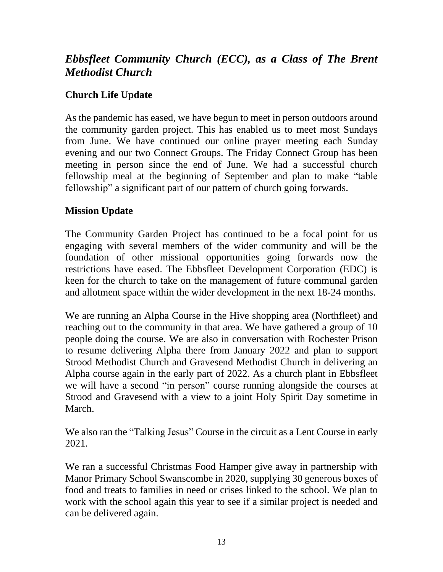# *Ebbsfleet Community Church (ECC), as a Class of The Brent Methodist Church*

# **Church Life Update**

As the pandemic has eased, we have begun to meet in person outdoors around the community garden project. This has enabled us to meet most Sundays from June. We have continued our online prayer meeting each Sunday evening and our two Connect Groups. The Friday Connect Group has been meeting in person since the end of June. We had a successful church fellowship meal at the beginning of September and plan to make "table fellowship" a significant part of our pattern of church going forwards.

## **Mission Update**

The Community Garden Project has continued to be a focal point for us engaging with several members of the wider community and will be the foundation of other missional opportunities going forwards now the restrictions have eased. The Ebbsfleet Development Corporation (EDC) is keen for the church to take on the management of future communal garden and allotment space within the wider development in the next 18-24 months.

We are running an Alpha Course in the Hive shopping area (Northfleet) and reaching out to the community in that area. We have gathered a group of 10 people doing the course. We are also in conversation with Rochester Prison to resume delivering Alpha there from January 2022 and plan to support Strood Methodist Church and Gravesend Methodist Church in delivering an Alpha course again in the early part of 2022. As a church plant in Ebbsfleet we will have a second "in person" course running alongside the courses at Strood and Gravesend with a view to a joint Holy Spirit Day sometime in March.

We also ran the "Talking Jesus" Course in the circuit as a Lent Course in early 2021.

We ran a successful Christmas Food Hamper give away in partnership with Manor Primary School Swanscombe in 2020, supplying 30 generous boxes of food and treats to families in need or crises linked to the school. We plan to work with the school again this year to see if a similar project is needed and can be delivered again.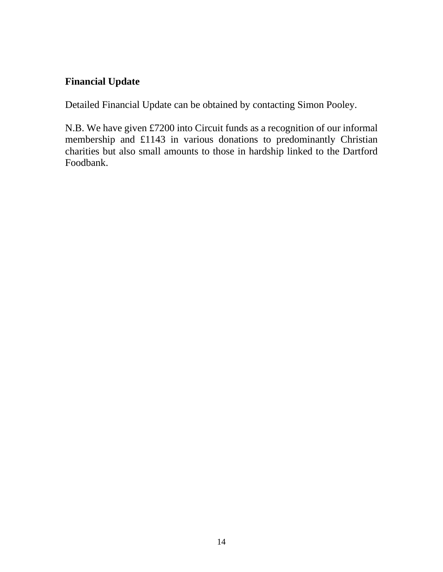# **Financial Update**

Detailed Financial Update can be obtained by contacting Simon Pooley.

N.B. We have given £7200 into Circuit funds as a recognition of our informal membership and £1143 in various donations to predominantly Christian charities but also small amounts to those in hardship linked to the Dartford Foodbank.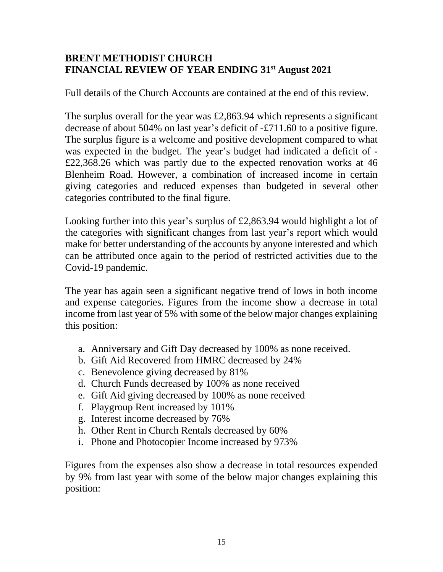## **BRENT METHODIST CHURCH FINANCIAL REVIEW OF YEAR ENDING 31st August 2021**

Full details of the Church Accounts are contained at the end of this review.

The surplus overall for the year was £2,863.94 which represents a significant decrease of about 504% on last year's deficit of -£711.60 to a positive figure. The surplus figure is a welcome and positive development compared to what was expected in the budget. The year's budget had indicated a deficit of - £22,368.26 which was partly due to the expected renovation works at 46 Blenheim Road. However, a combination of increased income in certain giving categories and reduced expenses than budgeted in several other categories contributed to the final figure.

Looking further into this year's surplus of £2,863.94 would highlight a lot of the categories with significant changes from last year's report which would make for better understanding of the accounts by anyone interested and which can be attributed once again to the period of restricted activities due to the Covid-19 pandemic.

The year has again seen a significant negative trend of lows in both income and expense categories. Figures from the income show a decrease in total income from last year of 5% with some of the below major changes explaining this position:

- a. Anniversary and Gift Day decreased by 100% as none received.
- b. Gift Aid Recovered from HMRC decreased by 24%
- c. Benevolence giving decreased by 81%
- d. Church Funds decreased by 100% as none received
- e. Gift Aid giving decreased by 100% as none received
- f. Playgroup Rent increased by 101%
- g. Interest income decreased by 76%
- h. Other Rent in Church Rentals decreased by 60%
- i. Phone and Photocopier Income increased by 973%

Figures from the expenses also show a decrease in total resources expended by 9% from last year with some of the below major changes explaining this position: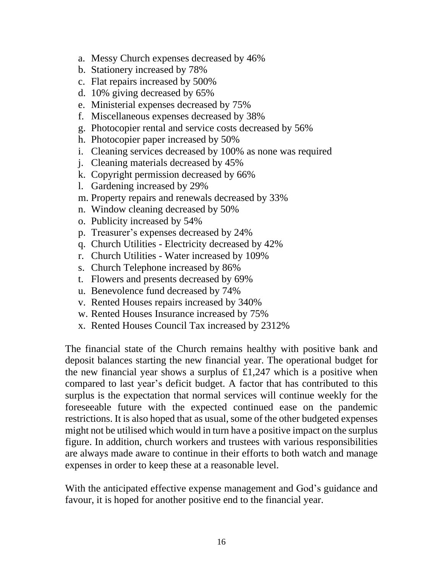- a. Messy Church expenses decreased by 46%
- b. Stationery increased by 78%
- c. Flat repairs increased by 500%
- d. 10% giving decreased by 65%
- e. Ministerial expenses decreased by 75%
- f. Miscellaneous expenses decreased by 38%
- g. Photocopier rental and service costs decreased by 56%
- h. Photocopier paper increased by 50%
- i. Cleaning services decreased by 100% as none was required
- j. Cleaning materials decreased by 45%
- k. Copyright permission decreased by 66%
- l. Gardening increased by 29%
- m. Property repairs and renewals decreased by 33%
- n. Window cleaning decreased by 50%
- o. Publicity increased by 54%
- p. Treasurer's expenses decreased by 24%
- q. Church Utilities Electricity decreased by 42%
- r. Church Utilities Water increased by 109%
- s. Church Telephone increased by 86%
- t. Flowers and presents decreased by 69%
- u. Benevolence fund decreased by 74%
- v. Rented Houses repairs increased by 340%
- w. Rented Houses Insurance increased by 75%
- x. Rented Houses Council Tax increased by 2312%

The financial state of the Church remains healthy with positive bank and deposit balances starting the new financial year. The operational budget for the new financial year shows a surplus of  $\pounds$ 1,247 which is a positive when compared to last year's deficit budget. A factor that has contributed to this surplus is the expectation that normal services will continue weekly for the foreseeable future with the expected continued ease on the pandemic restrictions. It is also hoped that as usual, some of the other budgeted expenses might not be utilised which would in turn have a positive impact on the surplus figure. In addition, church workers and trustees with various responsibilities are always made aware to continue in their efforts to both watch and manage expenses in order to keep these at a reasonable level.

With the anticipated effective expense management and God's guidance and favour, it is hoped for another positive end to the financial year.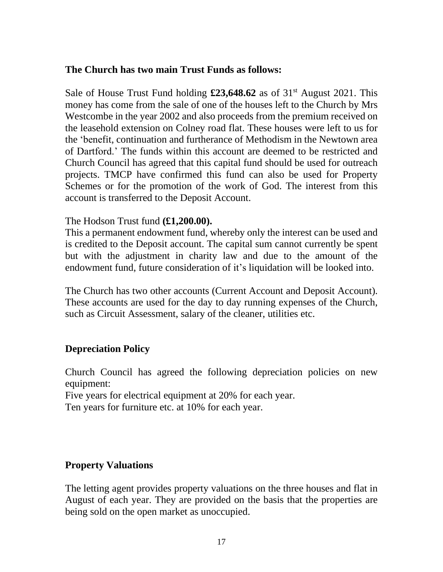#### **The Church has two main Trust Funds as follows:**

Sale of House Trust Fund holding **£23,648.62** as of 31<sup>st</sup> August 2021. This money has come from the sale of one of the houses left to the Church by Mrs Westcombe in the year 2002 and also proceeds from the premium received on the leasehold extension on Colney road flat. These houses were left to us for the 'benefit, continuation and furtherance of Methodism in the Newtown area of Dartford.' The funds within this account are deemed to be restricted and Church Council has agreed that this capital fund should be used for outreach projects. TMCP have confirmed this fund can also be used for Property Schemes or for the promotion of the work of God. The interest from this account is transferred to the Deposit Account.

#### The Hodson Trust fund **(£1,200.00).**

This a permanent endowment fund, whereby only the interest can be used and is credited to the Deposit account. The capital sum cannot currently be spent but with the adjustment in charity law and due to the amount of the endowment fund, future consideration of it's liquidation will be looked into.

The Church has two other accounts (Current Account and Deposit Account). These accounts are used for the day to day running expenses of the Church, such as Circuit Assessment, salary of the cleaner, utilities etc.

## **Depreciation Policy**

Church Council has agreed the following depreciation policies on new equipment:

Five years for electrical equipment at 20% for each year.

Ten years for furniture etc. at 10% for each year.

## **Property Valuations**

The letting agent provides property valuations on the three houses and flat in August of each year. They are provided on the basis that the properties are being sold on the open market as unoccupied.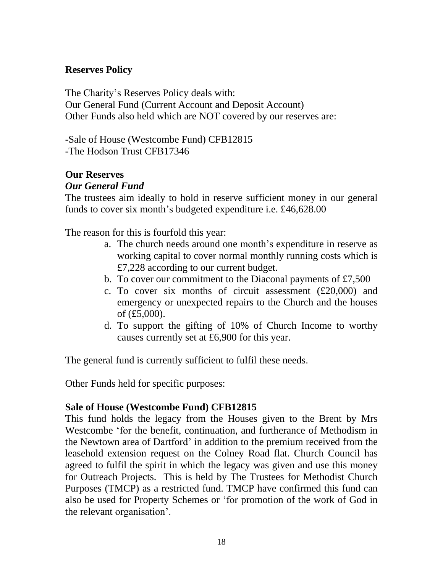## **Reserves Policy**

The Charity's Reserves Policy deals with: Our General Fund (Current Account and Deposit Account) Other Funds also held which are NOT covered by our reserves are:

-Sale of House (Westcombe Fund) CFB12815 -The Hodson Trust CFB17346

# **Our Reserves**

## *Our General Fund*

The trustees aim ideally to hold in reserve sufficient money in our general funds to cover six month's budgeted expenditure i.e. £46,628.00

The reason for this is fourfold this year:

- a. The church needs around one month's expenditure in reserve as working capital to cover normal monthly running costs which is £7,228 according to our current budget.
- b. To cover our commitment to the Diaconal payments of £7,500
- c. To cover six months of circuit assessment (£20,000) and emergency or unexpected repairs to the Church and the houses of (£5,000).
- d. To support the gifting of 10% of Church Income to worthy causes currently set at £6,900 for this year.

The general fund is currently sufficient to fulfil these needs.

Other Funds held for specific purposes:

#### **Sale of House (Westcombe Fund) CFB12815**

This fund holds the legacy from the Houses given to the Brent by Mrs Westcombe 'for the benefit, continuation, and furtherance of Methodism in the Newtown area of Dartford' in addition to the premium received from the leasehold extension request on the Colney Road flat. Church Council has agreed to fulfil the spirit in which the legacy was given and use this money for Outreach Projects. This is held by The Trustees for Methodist Church Purposes (TMCP) as a restricted fund. TMCP have confirmed this fund can also be used for Property Schemes or 'for promotion of the work of God in the relevant organisation'.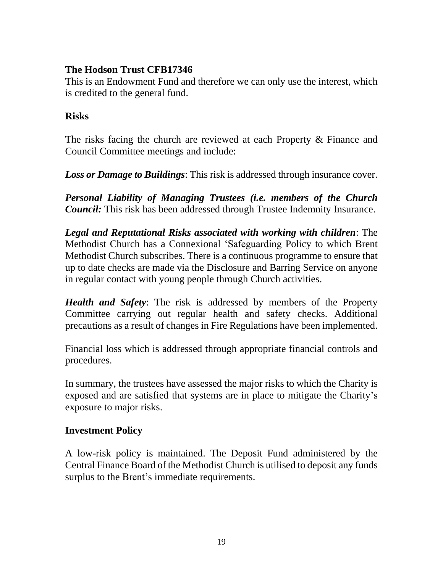## **The Hodson Trust CFB17346**

This is an Endowment Fund and therefore we can only use the interest, which is credited to the general fund.

#### **Risks**

The risks facing the church are reviewed at each Property & Finance and Council Committee meetings and include:

*Loss or Damage to Buildings*: This risk is addressed through insurance cover.

*Personal Liability of Managing Trustees (i.e. members of the Church Council:* This risk has been addressed through Trustee Indemnity Insurance.

*Legal and Reputational Risks associated with working with children*: The Methodist Church has a Connexional 'Safeguarding Policy to which Brent Methodist Church subscribes. There is a continuous programme to ensure that up to date checks are made via the Disclosure and Barring Service on anyone in regular contact with young people through Church activities.

*Health and Safety*: The risk is addressed by members of the Property Committee carrying out regular health and safety checks. Additional precautions as a result of changes in Fire Regulations have been implemented.

Financial loss which is addressed through appropriate financial controls and procedures.

In summary, the trustees have assessed the major risks to which the Charity is exposed and are satisfied that systems are in place to mitigate the Charity's exposure to major risks.

## **Investment Policy**

A low-risk policy is maintained. The Deposit Fund administered by the Central Finance Board of the Methodist Church is utilised to deposit any funds surplus to the Brent's immediate requirements.